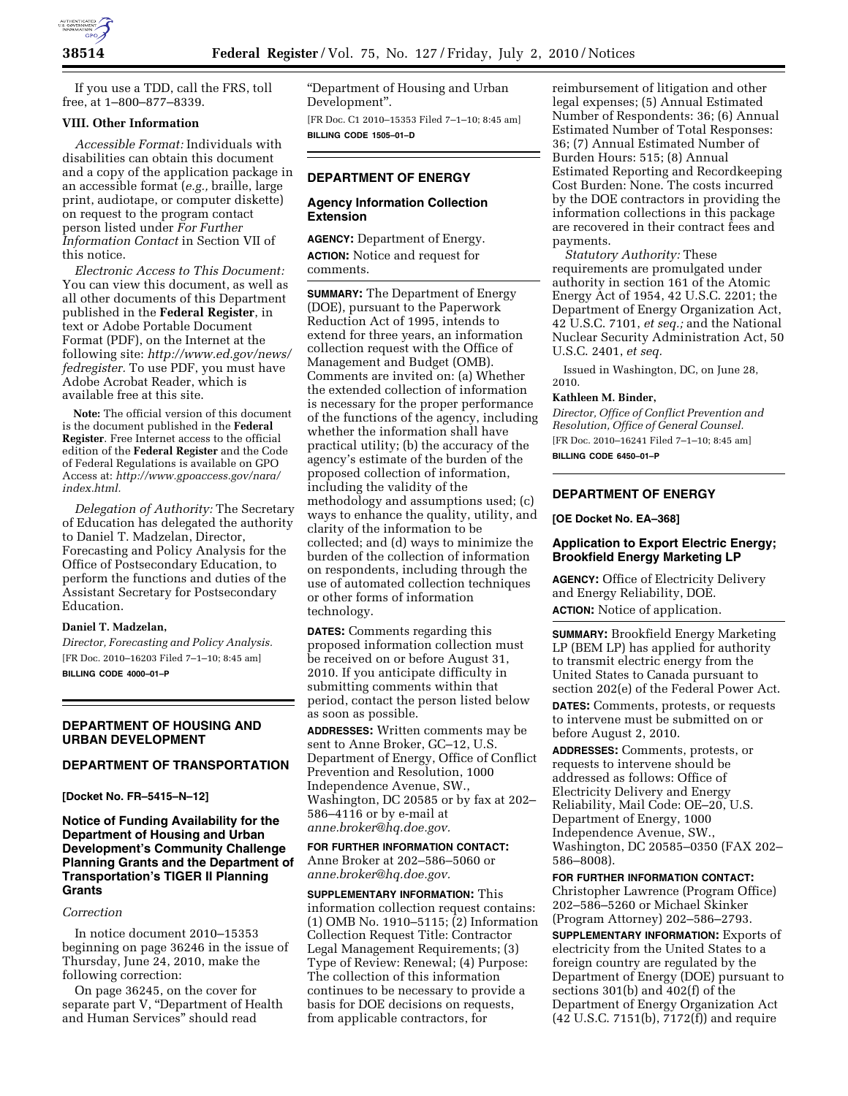

If you use a TDD, call the FRS, toll free, at 1–800–877–8339.

## **VIII. Other Information**

*Accessible Format:* Individuals with disabilities can obtain this document and a copy of the application package in an accessible format (*e.g.,* braille, large print, audiotape, or computer diskette) on request to the program contact person listed under *For Further Information Contact* in Section VII of this notice.

*Electronic Access to This Document:*  You can view this document, as well as all other documents of this Department published in the **Federal Register**, in text or Adobe Portable Document Format (PDF), on the Internet at the following site: *http://www.ed.gov/news/ fedregister.* To use PDF, you must have Adobe Acrobat Reader, which is available free at this site.

**Note:** The official version of this document is the document published in the **Federal Register**. Free Internet access to the official edition of the **Federal Register** and the Code of Federal Regulations is available on GPO Access at: *http://www.gpoaccess.gov/nara/ index.html.* 

*Delegation of Authority:* The Secretary of Education has delegated the authority to Daniel T. Madzelan, Director, Forecasting and Policy Analysis for the Office of Postsecondary Education, to perform the functions and duties of the Assistant Secretary for Postsecondary Education.

## **Daniel T. Madzelan,**

*Director, Forecasting and Policy Analysis.*  [FR Doc. 2010–16203 Filed 7–1–10; 8:45 am] **BILLING CODE 4000–01–P** 

## **DEPARTMENT OF HOUSING AND URBAN DEVELOPMENT**

# **DEPARTMENT OF TRANSPORTATION**

**[Docket No. FR–5415–N–12]** 

**Notice of Funding Availability for the Department of Housing and Urban Development's Community Challenge Planning Grants and the Department of Transportation's TIGER II Planning Grants** 

## *Correction*

In notice document 2010–15353 beginning on page 36246 in the issue of Thursday, June 24, 2010, make the following correction:

On page 36245, on the cover for separate part V, "Department of Health and Human Services'' should read

''Department of Housing and Urban Development''.

[FR Doc. C1 2010–15353 Filed 7–1–10; 8:45 am] **BILLING CODE 1505–01–D** 

#### **DEPARTMENT OF ENERGY**

# **Agency Information Collection Extension**

**AGENCY:** Department of Energy. **ACTION:** Notice and request for comments.

**SUMMARY:** The Department of Energy (DOE), pursuant to the Paperwork Reduction Act of 1995, intends to extend for three years, an information collection request with the Office of Management and Budget (OMB). Comments are invited on: (a) Whether the extended collection of information is necessary for the proper performance of the functions of the agency, including whether the information shall have practical utility; (b) the accuracy of the agency's estimate of the burden of the proposed collection of information, including the validity of the methodology and assumptions used; (c) ways to enhance the quality, utility, and clarity of the information to be collected; and (d) ways to minimize the burden of the collection of information on respondents, including through the use of automated collection techniques or other forms of information technology.

**DATES:** Comments regarding this proposed information collection must be received on or before August 31, 2010. If you anticipate difficulty in submitting comments within that period, contact the person listed below as soon as possible.

**ADDRESSES:** Written comments may be sent to Anne Broker, GC–12, U.S. Department of Energy, Office of Conflict Prevention and Resolution, 1000 Independence Avenue, SW., Washington, DC 20585 or by fax at 202– 586–4116 or by e-mail at *anne.broker@hq.doe.gov.* 

**FOR FURTHER INFORMATION CONTACT:**  Anne Broker at 202–586–5060 or *anne.broker@hq.doe.gov.* 

**SUPPLEMENTARY INFORMATION:** This information collection request contains: (1) OMB No. 1910–5115; (2) Information Collection Request Title: Contractor Legal Management Requirements; (3) Type of Review: Renewal; (4) Purpose: The collection of this information continues to be necessary to provide a basis for DOE decisions on requests, from applicable contractors, for

reimbursement of litigation and other legal expenses; (5) Annual Estimated Number of Respondents: 36; (6) Annual Estimated Number of Total Responses: 36; (7) Annual Estimated Number of Burden Hours: 515; (8) Annual Estimated Reporting and Recordkeeping Cost Burden: None. The costs incurred by the DOE contractors in providing the information collections in this package are recovered in their contract fees and payments.

*Statutory Authority:* These requirements are promulgated under authority in section 161 of the Atomic Energy Act of 1954, 42 U.S.C. 2201; the Department of Energy Organization Act, 42 U.S.C. 7101, *et seq.;* and the National Nuclear Security Administration Act, 50 U.S.C. 2401, *et seq.* 

Issued in Washington, DC, on June 28, 2010.

#### **Kathleen M. Binder,**

*Director, Office of Conflict Prevention and Resolution, Office of General Counsel.* 

[FR Doc. 2010–16241 Filed 7–1–10; 8:45 am]

**BILLING CODE 6450–01–P** 

# **DEPARTMENT OF ENERGY**

## **[OE Docket No. EA–368]**

# **Application to Export Electric Energy; Brookfield Energy Marketing LP**

**AGENCY:** Office of Electricity Delivery and Energy Reliability, DOE. **ACTION:** Notice of application.

**SUMMARY:** Brookfield Energy Marketing LP (BEM LP) has applied for authority to transmit electric energy from the United States to Canada pursuant to section 202(e) of the Federal Power Act. **DATES:** Comments, protests, or requests to intervene must be submitted on or

before August 2, 2010.

**ADDRESSES:** Comments, protests, or requests to intervene should be addressed as follows: Office of Electricity Delivery and Energy Reliability, Mail Code: OE–20, U.S. Department of Energy, 1000 Independence Avenue, SW., Washington, DC 20585–0350 (FAX 202– 586–8008).

## **FOR FURTHER INFORMATION CONTACT:**

Christopher Lawrence (Program Office) 202–586–5260 or Michael Skinker (Program Attorney) 202–586–2793.

**SUPPLEMENTARY INFORMATION:** Exports of electricity from the United States to a foreign country are regulated by the Department of Energy (DOE) pursuant to sections 301(b) and 402(f) of the Department of Energy Organization Act (42 U.S.C. 7151(b), 7172(f)) and require